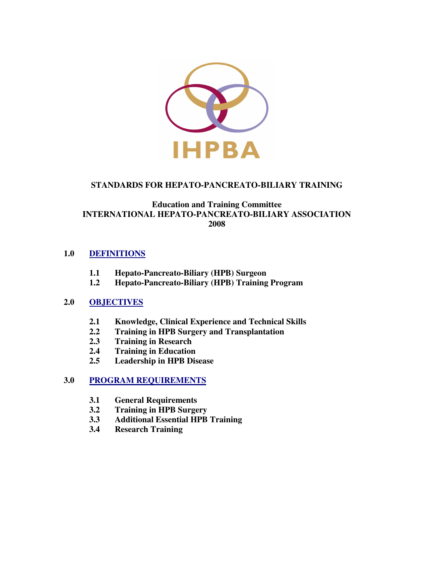

## **STANDARDS FOR HEPATO-PANCREATO-BILIARY TRAINING**

## **Education and Training Committee INTERNATIONAL HEPATO-PANCREATO-BILIARY ASSOCIATION 2008**

## **1.0 DEFINITIONS**

- **1.1 Hepato-Pancreato-Biliary (HPB) Surgeon**
- **1.2 Hepato-Pancreato-Biliary (HPB) Training Program**

## **2.0 OBJECTIVES**

- **2.1 Knowledge, Clinical Experience and Technical Skills**
- **2.2 Training in HPB Surgery and Transplantation**
- **2.3 Training in Research**
- **2.4 Training in Education**
- **2.5 Leadership in HPB Disease**

## **3.0 PROGRAM REQUIREMENTS**

- **3.1 General Requirements**
- **3.2 Training in HPB Surgery**
- **3.3 Additional Essential HPB Training**
- **3.4 Research Training**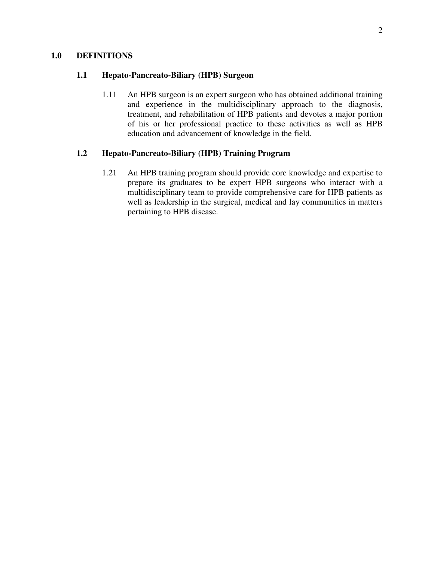#### **1.0 DEFINITIONS**

#### **1.1 Hepato-Pancreato-Biliary (HPB) Surgeon**

1.11 An HPB surgeon is an expert surgeon who has obtained additional training and experience in the multidisciplinary approach to the diagnosis, treatment, and rehabilitation of HPB patients and devotes a major portion of his or her professional practice to these activities as well as HPB education and advancement of knowledge in the field.

## **1.2 Hepato-Pancreato-Biliary (HPB) Training Program**

1.21 An HPB training program should provide core knowledge and expertise to prepare its graduates to be expert HPB surgeons who interact with a multidisciplinary team to provide comprehensive care for HPB patients as well as leadership in the surgical, medical and lay communities in matters pertaining to HPB disease.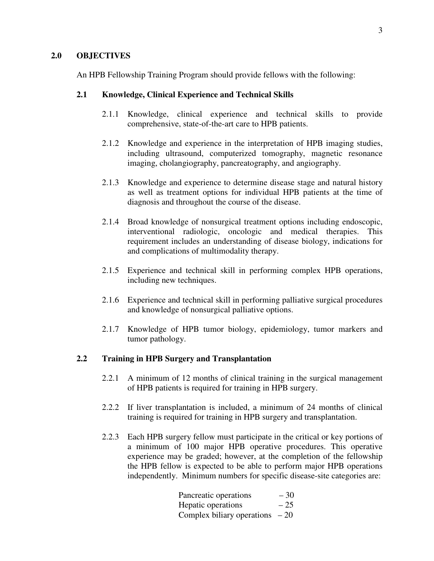#### **2.0 OBJECTIVES**

An HPB Fellowship Training Program should provide fellows with the following:

#### **2.1 Knowledge, Clinical Experience and Technical Skills**

- 2.1.1 Knowledge, clinical experience and technical skills to provide comprehensive, state-of-the-art care to HPB patients.
- 2.1.2 Knowledge and experience in the interpretation of HPB imaging studies, including ultrasound, computerized tomography, magnetic resonance imaging, cholangiography, pancreatography, and angiography.
- 2.1.3 Knowledge and experience to determine disease stage and natural history as well as treatment options for individual HPB patients at the time of diagnosis and throughout the course of the disease.
- 2.1.4 Broad knowledge of nonsurgical treatment options including endoscopic, interventional radiologic, oncologic and medical therapies. This requirement includes an understanding of disease biology, indications for and complications of multimodality therapy.
- 2.1.5 Experience and technical skill in performing complex HPB operations, including new techniques.
- 2.1.6 Experience and technical skill in performing palliative surgical procedures and knowledge of nonsurgical palliative options.
- 2.1.7 Knowledge of HPB tumor biology, epidemiology, tumor markers and tumor pathology.

### **2.2 Training in HPB Surgery and Transplantation**

- 2.2.1 A minimum of 12 months of clinical training in the surgical management of HPB patients is required for training in HPB surgery.
- 2.2.2 If liver transplantation is included, a minimum of 24 months of clinical training is required for training in HPB surgery and transplantation.
- 2.2.3 Each HPB surgery fellow must participate in the critical or key portions of a minimum of 100 major HPB operative procedures. This operative experience may be graded; however, at the completion of the fellowship the HPB fellow is expected to be able to perform major HPB operations independently. Minimum numbers for specific disease-site categories are:

| Pancreatic operations            | $-30$ |
|----------------------------------|-------|
| Hepatic operations               | $-25$ |
| Complex biliary operations $-20$ |       |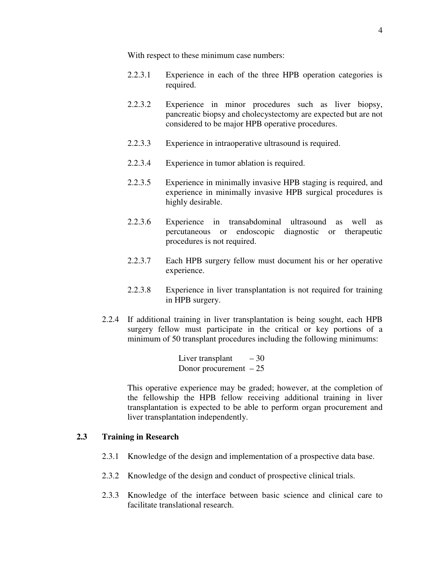With respect to these minimum case numbers:

- 2.2.3.1 Experience in each of the three HPB operation categories is required.
- 2.2.3.2 Experience in minor procedures such as liver biopsy, pancreatic biopsy and cholecystectomy are expected but are not considered to be major HPB operative procedures.
- 2.2.3.3 Experience in intraoperative ultrasound is required.
- 2.2.3.4 Experience in tumor ablation is required.
- 2.2.3.5 Experience in minimally invasive HPB staging is required, and experience in minimally invasive HPB surgical procedures is highly desirable.
- 2.2.3.6 Experience in transabdominal ultrasound as well as percutaneous or endoscopic diagnostic or therapeutic procedures is not required.
- 2.2.3.7 Each HPB surgery fellow must document his or her operative experience.
- 2.2.3.8 Experience in liver transplantation is not required for training in HPB surgery.
- 2.2.4 If additional training in liver transplantation is being sought, each HPB surgery fellow must participate in the critical or key portions of a minimum of 50 transplant procedures including the following minimums:

Liver transplant  $-30$ Donor procurement  $-25$ 

This operative experience may be graded; however, at the completion of the fellowship the HPB fellow receiving additional training in liver transplantation is expected to be able to perform organ procurement and liver transplantation independently.

#### **2.3 Training in Research**

- 2.3.1 Knowledge of the design and implementation of a prospective data base.
- 2.3.2 Knowledge of the design and conduct of prospective clinical trials.
- 2.3.3 Knowledge of the interface between basic science and clinical care to facilitate translational research.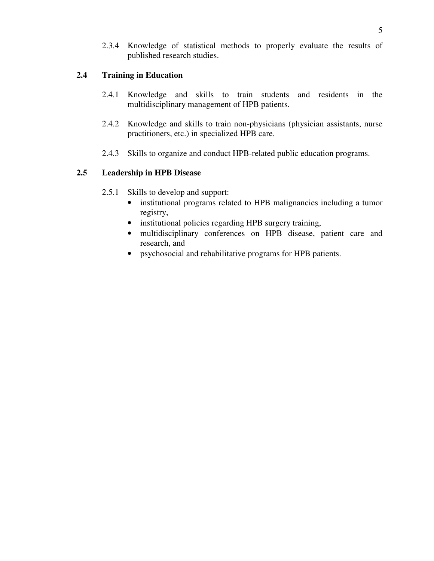2.3.4 Knowledge of statistical methods to properly evaluate the results of published research studies.

# **2.4 Training in Education**

- 2.4.1 Knowledge and skills to train students and residents in the multidisciplinary management of HPB patients.
- 2.4.2 Knowledge and skills to train non-physicians (physician assistants, nurse practitioners, etc.) in specialized HPB care.
- 2.4.3 Skills to organize and conduct HPB-related public education programs.

## **2.5 Leadership in HPB Disease**

- 2.5.1 Skills to develop and support:
	- institutional programs related to HPB malignancies including a tumor registry,
	- institutional policies regarding HPB surgery training,
	- multidisciplinary conferences on HPB disease, patient care and research, and
	- psychosocial and rehabilitative programs for HPB patients.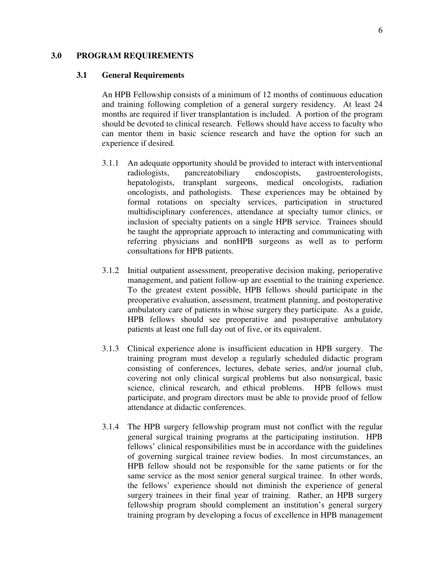#### **3.0 PROGRAM REQUIREMENTS**

#### **3.1 General Requirements**

An HPB Fellowship consists of a minimum of 12 months of continuous education and training following completion of a general surgery residency. At least 24 months are required if liver transplantation is included. A portion of the program should be devoted to clinical research. Fellows should have access to faculty who can mentor them in basic science research and have the option for such an experience if desired.

- 3.1.1 An adequate opportunity should be provided to interact with interventional radiologists, pancreatobiliary endoscopists, gastroenterologists, hepatologists, transplant surgeons, medical oncologists, radiation oncologists, and pathologists. These experiences may be obtained by formal rotations on specialty services, participation in structured multidisciplinary conferences, attendance at specialty tumor clinics, or inclusion of specialty patients on a single HPB service. Trainees should be taught the appropriate approach to interacting and communicating with referring physicians and nonHPB surgeons as well as to perform consultations for HPB patients.
- 3.1.2 Initial outpatient assessment, preoperative decision making, perioperative management, and patient follow-up are essential to the training experience. To the greatest extent possible, HPB fellows should participate in the preoperative evaluation, assessment, treatment planning, and postoperative ambulatory care of patients in whose surgery they participate. As a guide, HPB fellows should see preoperative and postoperative ambulatory patients at least one full day out of five, or its equivalent.
- 3.1.3 Clinical experience alone is insufficient education in HPB surgery. The training program must develop a regularly scheduled didactic program consisting of conferences, lectures, debate series, and/or journal club, covering not only clinical surgical problems but also nonsurgical, basic science, clinical research, and ethical problems. HPB fellows must participate, and program directors must be able to provide proof of fellow attendance at didactic conferences.
- 3.1.4 The HPB surgery fellowship program must not conflict with the regular general surgical training programs at the participating institution. HPB fellows' clinical responsibilities must be in accordance with the guidelines of governing surgical trainee review bodies. In most circumstances, an HPB fellow should not be responsible for the same patients or for the same service as the most senior general surgical trainee. In other words, the fellows' experience should not diminish the experience of general surgery trainees in their final year of training. Rather, an HPB surgery fellowship program should complement an institution's general surgery training program by developing a focus of excellence in HPB management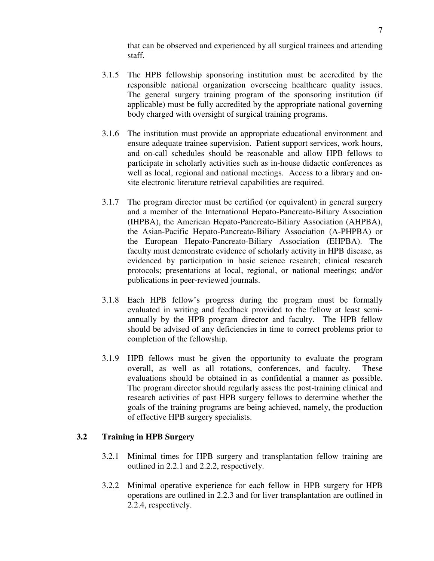that can be observed and experienced by all surgical trainees and attending staff.

- 3.1.5 The HPB fellowship sponsoring institution must be accredited by the responsible national organization overseeing healthcare quality issues. The general surgery training program of the sponsoring institution (if applicable) must be fully accredited by the appropriate national governing body charged with oversight of surgical training programs.
- 3.1.6 The institution must provide an appropriate educational environment and ensure adequate trainee supervision. Patient support services, work hours, and on-call schedules should be reasonable and allow HPB fellows to participate in scholarly activities such as in-house didactic conferences as well as local, regional and national meetings. Access to a library and onsite electronic literature retrieval capabilities are required.
- 3.1.7 The program director must be certified (or equivalent) in general surgery and a member of the International Hepato-Pancreato-Biliary Association (IHPBA), the American Hepato-Pancreato-Biliary Association (AHPBA), the Asian-Pacific Hepato-Pancreato-Biliary Association (A-PHPBA) or the European Hepato-Pancreato-Biliary Association (EHPBA). The faculty must demonstrate evidence of scholarly activity in HPB disease, as evidenced by participation in basic science research; clinical research protocols; presentations at local, regional, or national meetings; and/or publications in peer-reviewed journals.
- 3.1.8 Each HPB fellow's progress during the program must be formally evaluated in writing and feedback provided to the fellow at least semiannually by the HPB program director and faculty. The HPB fellow should be advised of any deficiencies in time to correct problems prior to completion of the fellowship.
- 3.1.9 HPB fellows must be given the opportunity to evaluate the program overall, as well as all rotations, conferences, and faculty. These evaluations should be obtained in as confidential a manner as possible. The program director should regularly assess the post-training clinical and research activities of past HPB surgery fellows to determine whether the goals of the training programs are being achieved, namely, the production of effective HPB surgery specialists.

### **3.2 Training in HPB Surgery**

- 3.2.1 Minimal times for HPB surgery and transplantation fellow training are outlined in 2.2.1 and 2.2.2, respectively.
- 3.2.2 Minimal operative experience for each fellow in HPB surgery for HPB operations are outlined in 2.2.3 and for liver transplantation are outlined in 2.2.4, respectively.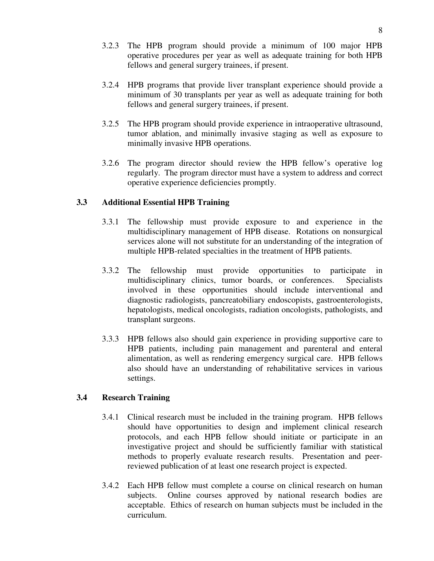- 3.2.3 The HPB program should provide a minimum of 100 major HPB operative procedures per year as well as adequate training for both HPB fellows and general surgery trainees, if present.
- 3.2.4 HPB programs that provide liver transplant experience should provide a minimum of 30 transplants per year as well as adequate training for both fellows and general surgery trainees, if present.
- 3.2.5 The HPB program should provide experience in intraoperative ultrasound, tumor ablation, and minimally invasive staging as well as exposure to minimally invasive HPB operations.
- 3.2.6 The program director should review the HPB fellow's operative log regularly. The program director must have a system to address and correct operative experience deficiencies promptly.

## **3.3 Additional Essential HPB Training**

- 3.3.1 The fellowship must provide exposure to and experience in the multidisciplinary management of HPB disease. Rotations on nonsurgical services alone will not substitute for an understanding of the integration of multiple HPB-related specialties in the treatment of HPB patients.
- 3.3.2 The fellowship must provide opportunities to participate in multidisciplinary clinics, tumor boards, or conferences. Specialists involved in these opportunities should include interventional and diagnostic radiologists, pancreatobiliary endoscopists, gastroenterologists, hepatologists, medical oncologists, radiation oncologists, pathologists, and transplant surgeons.
- 3.3.3 HPB fellows also should gain experience in providing supportive care to HPB patients, including pain management and parenteral and enteral alimentation, as well as rendering emergency surgical care. HPB fellows also should have an understanding of rehabilitative services in various settings.

## **3.4 Research Training**

- 3.4.1 Clinical research must be included in the training program. HPB fellows should have opportunities to design and implement clinical research protocols, and each HPB fellow should initiate or participate in an investigative project and should be sufficiently familiar with statistical methods to properly evaluate research results. Presentation and peerreviewed publication of at least one research project is expected.
- 3.4.2 Each HPB fellow must complete a course on clinical research on human subjects. Online courses approved by national research bodies are acceptable. Ethics of research on human subjects must be included in the curriculum.